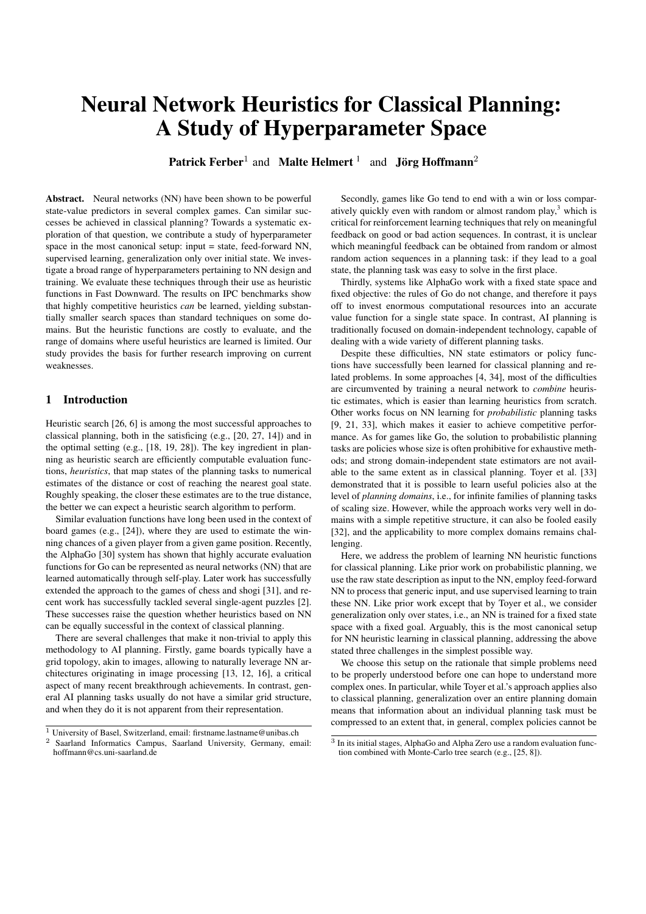# Neural Network Heuristics for Classical Planning: A Study of Hyperparameter Space

Patrick Ferber<sup>1</sup> and Malte Helmert<sup>1</sup> and Jörg Hoffmann<sup>2</sup>

Abstract. Neural networks (NN) have been shown to be powerful state-value predictors in several complex games. Can similar successes be achieved in classical planning? Towards a systematic exploration of that question, we contribute a study of hyperparameter space in the most canonical setup: input = state, feed-forward NN, supervised learning, generalization only over initial state. We investigate a broad range of hyperparameters pertaining to NN design and training. We evaluate these techniques through their use as heuristic functions in Fast Downward. The results on IPC benchmarks show that highly competitive heuristics *can* be learned, yielding substantially smaller search spaces than standard techniques on some domains. But the heuristic functions are costly to evaluate, and the range of domains where useful heuristics are learned is limited. Our study provides the basis for further research improving on current weaknesses.

# 1 Introduction

Heuristic search [26, 6] is among the most successful approaches to classical planning, both in the satisficing (e.g., [20, 27, 14]) and in the optimal setting (e.g., [18, 19, 28]). The key ingredient in planning as heuristic search are efficiently computable evaluation functions, *heuristics*, that map states of the planning tasks to numerical estimates of the distance or cost of reaching the nearest goal state. Roughly speaking, the closer these estimates are to the true distance, the better we can expect a heuristic search algorithm to perform.

Similar evaluation functions have long been used in the context of board games (e.g., [24]), where they are used to estimate the winning chances of a given player from a given game position. Recently, the AlphaGo [30] system has shown that highly accurate evaluation functions for Go can be represented as neural networks (NN) that are learned automatically through self-play. Later work has successfully extended the approach to the games of chess and shogi [31], and recent work has successfully tackled several single-agent puzzles [2]. These successes raise the question whether heuristics based on NN can be equally successful in the context of classical planning.

There are several challenges that make it non-trivial to apply this methodology to AI planning. Firstly, game boards typically have a grid topology, akin to images, allowing to naturally leverage NN architectures originating in image processing [13, 12, 16], a critical aspect of many recent breakthrough achievements. In contrast, general AI planning tasks usually do not have a similar grid structure, and when they do it is not apparent from their representation.

Secondly, games like Go tend to end with a win or loss comparatively quickly even with random or almost random play, $3$  which is critical for reinforcement learning techniques that rely on meaningful feedback on good or bad action sequences. In contrast, it is unclear which meaningful feedback can be obtained from random or almost random action sequences in a planning task: if they lead to a goal state, the planning task was easy to solve in the first place.

Thirdly, systems like AlphaGo work with a fixed state space and fixed objective: the rules of Go do not change, and therefore it pays off to invest enormous computational resources into an accurate value function for a single state space. In contrast, AI planning is traditionally focused on domain-independent technology, capable of dealing with a wide variety of different planning tasks.

Despite these difficulties, NN state estimators or policy functions have successfully been learned for classical planning and related problems. In some approaches [4, 34], most of the difficulties are circumvented by training a neural network to *combine* heuristic estimates, which is easier than learning heuristics from scratch. Other works focus on NN learning for *probabilistic* planning tasks [9, 21, 33], which makes it easier to achieve competitive performance. As for games like Go, the solution to probabilistic planning tasks are policies whose size is often prohibitive for exhaustive methods; and strong domain-independent state estimators are not available to the same extent as in classical planning. Toyer et al. [33] demonstrated that it is possible to learn useful policies also at the level of *planning domains*, i.e., for infinite families of planning tasks of scaling size. However, while the approach works very well in domains with a simple repetitive structure, it can also be fooled easily [32], and the applicability to more complex domains remains challenging.

Here, we address the problem of learning NN heuristic functions for classical planning. Like prior work on probabilistic planning, we use the raw state description as input to the NN, employ feed-forward NN to process that generic input, and use supervised learning to train these NN. Like prior work except that by Toyer et al., we consider generalization only over states, i.e., an NN is trained for a fixed state space with a fixed goal. Arguably, this is the most canonical setup for NN heuristic learning in classical planning, addressing the above stated three challenges in the simplest possible way.

We choose this setup on the rationale that simple problems need to be properly understood before one can hope to understand more complex ones. In particular, while Toyer et al.'s approach applies also to classical planning, generalization over an entire planning domain means that information about an individual planning task must be compressed to an extent that, in general, complex policies cannot be

 $\frac{1}{1}$  University of Basel, Switzerland, email: firstname.lastname@unibas.ch

<sup>2</sup> Saarland Informatics Campus, Saarland University, Germany, email: hoffmann@cs.uni-saarland.de

<sup>3</sup> In its initial stages, AlphaGo and Alpha Zero use a random evaluation function combined with Monte-Carlo tree search (e.g., [25, 8]).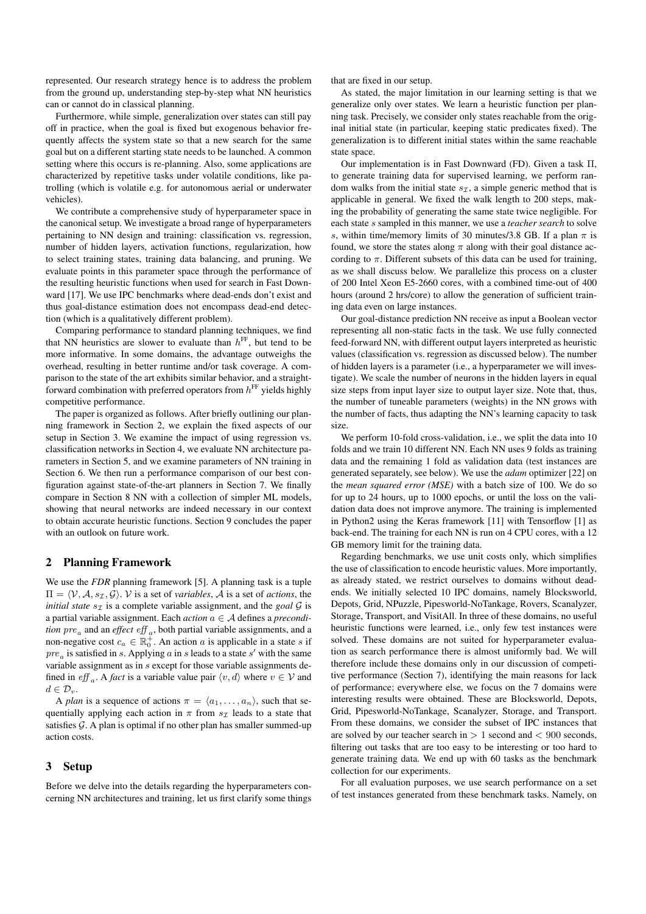represented. Our research strategy hence is to address the problem from the ground up, understanding step-by-step what NN heuristics can or cannot do in classical planning.

Furthermore, while simple, generalization over states can still pay off in practice, when the goal is fixed but exogenous behavior frequently affects the system state so that a new search for the same goal but on a different starting state needs to be launched. A common setting where this occurs is re-planning. Also, some applications are characterized by repetitive tasks under volatile conditions, like patrolling (which is volatile e.g. for autonomous aerial or underwater vehicles).

We contribute a comprehensive study of hyperparameter space in the canonical setup. We investigate a broad range of hyperparameters pertaining to NN design and training: classification vs. regression, number of hidden layers, activation functions, regularization, how to select training states, training data balancing, and pruning. We evaluate points in this parameter space through the performance of the resulting heuristic functions when used for search in Fast Downward [17]. We use IPC benchmarks where dead-ends don't exist and thus goal-distance estimation does not encompass dead-end detection (which is a qualitatively different problem).

Comparing performance to standard planning techniques, we find that NN heuristics are slower to evaluate than  $h<sup>FF</sup>$ , but tend to be more informative. In some domains, the advantage outweighs the overhead, resulting in better runtime and/or task coverage. A comparison to the state of the art exhibits similar behavior, and a straightforward combination with preferred operators from  $h^{\text{FF}}$  yields highly competitive performance.

The paper is organized as follows. After briefly outlining our planning framework in Section 2, we explain the fixed aspects of our setup in Section 3. We examine the impact of using regression vs. classification networks in Section 4, we evaluate NN architecture parameters in Section 5, and we examine parameters of NN training in Section 6. We then run a performance comparison of our best configuration against state-of-the-art planners in Section 7. We finally compare in Section 8 NN with a collection of simpler ML models, showing that neural networks are indeed necessary in our context to obtain accurate heuristic functions. Section 9 concludes the paper with an outlook on future work.

# 2 Planning Framework

We use the *FDR* planning framework [5]. A planning task is a tuple  $\Pi = \langle V, A, s_{\mathcal{I}}, \mathcal{G} \rangle$ . V is a set of *variables*, A is a set of *actions*, the *initial state*  $s_{\tau}$  is a complete variable assignment, and the *goal*  $\mathcal{G}$  is a partial variable assignment. Each *action* a ∈ A defines a *precondition*  $pre_a$  and an *effect*  $eff_a$ , both partial variable assignments, and a non-negative cost  $c_a \in \mathbb{R}_0^{\bar{+}}$ . An action a is applicable in a state s if  $pre_a$  is satisfied in s. Applying  $a$  in s leads to a state  $s'$  with the same variable assignment as in s except for those variable assignments defined in *eff* <sub>a</sub>. A *fact* is a variable value pair  $\langle v, d \rangle$  where  $v \in V$  and  $d \in \mathcal{D}_v$ .

A *plan* is a sequence of actions  $\pi = \langle a_1, \ldots, a_n \rangle$ , such that sequentially applying each action in  $\pi$  from  $s_{\mathcal{I}}$  leads to a state that satisfies  $\mathcal G$ . A plan is optimal if no other plan has smaller summed-up action costs.

# 3 Setup

Before we delve into the details regarding the hyperparameters concerning NN architectures and training, let us first clarify some things

that are fixed in our setup.

As stated, the major limitation in our learning setting is that we generalize only over states. We learn a heuristic function per planning task. Precisely, we consider only states reachable from the original initial state (in particular, keeping static predicates fixed). The generalization is to different initial states within the same reachable state space.

Our implementation is in Fast Downward (FD). Given a task Π, to generate training data for supervised learning, we perform random walks from the initial state  $s_{\mathcal{I}}$ , a simple generic method that is applicable in general. We fixed the walk length to 200 steps, making the probability of generating the same state twice negligible. For each state s sampled in this manner, we use a *teacher search* to solve s, within time/memory limits of 30 minutes/3.8 GB. If a plan  $\pi$  is found, we store the states along  $\pi$  along with their goal distance according to  $\pi$ . Different subsets of this data can be used for training, as we shall discuss below. We parallelize this process on a cluster of 200 Intel Xeon E5-2660 cores, with a combined time-out of 400 hours (around 2 hrs/core) to allow the generation of sufficient training data even on large instances.

Our goal-distance prediction NN receive as input a Boolean vector representing all non-static facts in the task. We use fully connected feed-forward NN, with different output layers interpreted as heuristic values (classification vs. regression as discussed below). The number of hidden layers is a parameter (i.e., a hyperparameter we will investigate). We scale the number of neurons in the hidden layers in equal size steps from input layer size to output layer size. Note that, thus, the number of tuneable parameters (weights) in the NN grows with the number of facts, thus adapting the NN's learning capacity to task size.

We perform 10-fold cross-validation, i.e., we split the data into 10 folds and we train 10 different NN. Each NN uses 9 folds as training data and the remaining 1 fold as validation data (test instances are generated separately, see below). We use the *adam* optimizer [22] on the *mean squared error (MSE)* with a batch size of 100. We do so for up to 24 hours, up to 1000 epochs, or until the loss on the validation data does not improve anymore. The training is implemented in Python2 using the Keras framework [11] with Tensorflow [1] as back-end. The training for each NN is run on 4 CPU cores, with a 12 GB memory limit for the training data.

Regarding benchmarks, we use unit costs only, which simplifies the use of classification to encode heuristic values. More importantly, as already stated, we restrict ourselves to domains without deadends. We initially selected 10 IPC domains, namely Blocksworld, Depots, Grid, NPuzzle, Pipesworld-NoTankage, Rovers, Scanalyzer, Storage, Transport, and VisitAll. In three of these domains, no useful heuristic functions were learned, i.e., only few test instances were solved. These domains are not suited for hyperparameter evaluation as search performance there is almost uniformly bad. We will therefore include these domains only in our discussion of competitive performance (Section 7), identifying the main reasons for lack of performance; everywhere else, we focus on the 7 domains were interesting results were obtained. These are Blocksworld, Depots, Grid, Pipesworld-NoTankage, Scanalyzer, Storage, and Transport. From these domains, we consider the subset of IPC instances that are solved by our teacher search in  $> 1$  second and  $< 900$  seconds, filtering out tasks that are too easy to be interesting or too hard to generate training data. We end up with 60 tasks as the benchmark collection for our experiments.

For all evaluation purposes, we use search performance on a set of test instances generated from these benchmark tasks. Namely, on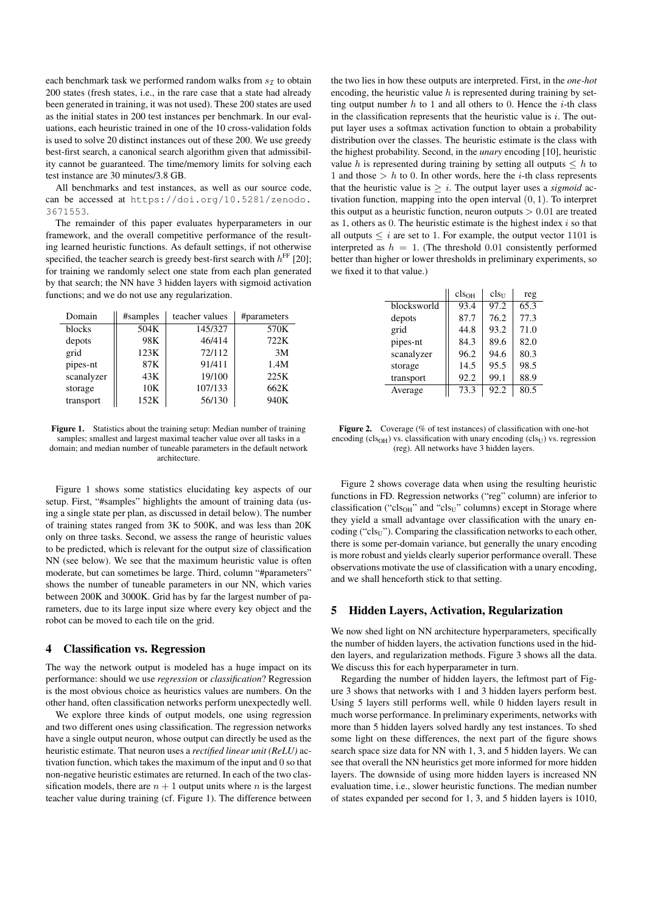each benchmark task we performed random walks from  $s<sub>\mathcal{I}</sub>$  to obtain 200 states (fresh states, i.e., in the rare case that a state had already been generated in training, it was not used). These 200 states are used as the initial states in 200 test instances per benchmark. In our evaluations, each heuristic trained in one of the 10 cross-validation folds is used to solve 20 distinct instances out of these 200. We use greedy best-first search, a canonical search algorithm given that admissibility cannot be guaranteed. The time/memory limits for solving each test instance are 30 minutes/3.8 GB.

All benchmarks and test instances, as well as our source code, can be accessed at https://doi.org/10.5281/zenodo. 3671553.

The remainder of this paper evaluates hyperparameters in our framework, and the overall competitive performance of the resulting learned heuristic functions. As default settings, if not otherwise specified, the teacher search is greedy best-first search with  $h^{\text{FF}}$  [20]; for training we randomly select one state from each plan generated by that search; the NN have 3 hidden layers with sigmoid activation functions; and we do not use any regularization.

| Domain     | #samples | teacher values | #parameters |
|------------|----------|----------------|-------------|
| blocks     | 504K     | 145/327        | 570K        |
| depots     | 98K      | 46/414         | 722K        |
| grid       | 123K     | 72/112         | 3M          |
| pipes-nt   | 87K      | 91/411         | 1.4M        |
| scanalyzer | 43K      | 19/100         | 225K        |
| storage    | 10K      | 107/133        | 662K        |
| transport  | 152K     | 56/130         | 940K        |

Figure 1. Statistics about the training setup: Median number of training samples; smallest and largest maximal teacher value over all tasks in a domain; and median number of tuneable parameters in the default network architecture.

Figure 1 shows some statistics elucidating key aspects of our setup. First, "#samples" highlights the amount of training data (using a single state per plan, as discussed in detail below). The number of training states ranged from 3K to 500K, and was less than 20K only on three tasks. Second, we assess the range of heuristic values to be predicted, which is relevant for the output size of classification NN (see below). We see that the maximum heuristic value is often moderate, but can sometimes be large. Third, column "#parameters" shows the number of tuneable parameters in our NN, which varies between 200K and 3000K. Grid has by far the largest number of parameters, due to its large input size where every key object and the robot can be moved to each tile on the grid.

## 4 Classification vs. Regression

The way the network output is modeled has a huge impact on its performance: should we use *regression* or *classification*? Regression is the most obvious choice as heuristics values are numbers. On the other hand, often classification networks perform unexpectedly well.

We explore three kinds of output models, one using regression and two different ones using classification. The regression networks have a single output neuron, whose output can directly be used as the heuristic estimate. That neuron uses a *rectified linear unit (ReLU)* activation function, which takes the maximum of the input and 0 so that non-negative heuristic estimates are returned. In each of the two classification models, there are  $n + 1$  output units where n is the largest teacher value during training (cf. Figure 1). The difference between

the two lies in how these outputs are interpreted. First, in the *one-hot* encoding, the heuristic value  $h$  is represented during training by setting output number  $h$  to 1 and all others to 0. Hence the *i*-th class in the classification represents that the heuristic value is  $i$ . The output layer uses a softmax activation function to obtain a probability distribution over the classes. The heuristic estimate is the class with the highest probability. Second, in the *unary* encoding [10], heuristic value h is represented during training by setting all outputs  $\leq h$  to 1 and those  $> h$  to 0. In other words, here the *i*-th class represents that the heuristic value is  $\geq i$ . The output layer uses a *sigmoid* activation function, mapping into the open interval  $(0, 1)$ . To interpret this output as a heuristic function, neuron outputs  $> 0.01$  are treated as 1, others as 0. The heuristic estimate is the highest index  $i$  so that all outputs  $\leq i$  are set to 1. For example, the output vector 1101 is interpreted as  $h = 1$ . (The threshold 0.01 consistently performed better than higher or lower thresholds in preliminary experiments, so we fixed it to that value.)

|             | cls <sub>OH</sub> | $cls_{U}$ | reg  |
|-------------|-------------------|-----------|------|
| blocksworld | 93.4              | 97.2      | 65.3 |
| depots      | 87.7              | 76.2      | 77.3 |
| grid        | 44.8              | 93.2      | 71.0 |
| pipes-nt    | 84.3              | 89.6      | 82.0 |
| scanalyzer  | 96.2              | 94.6      | 80.3 |
| storage     | 14.5              | 95.5      | 98.5 |
| transport   | 92.2              | 99.1      | 88.9 |
| Average     | 73.3              | 92.2      | 80.5 |

Figure 2. Coverage (% of test instances) of classification with one-hot encoding (cls<sub>OH</sub>) vs. classification with unary encoding (cls<sub>U</sub>) vs. regression (reg). All networks have 3 hidden layers.

Figure 2 shows coverage data when using the resulting heuristic functions in FD. Regression networks ("reg" column) are inferior to classification ("cls<sub>OH</sub>" and "cls<sub>U</sub>" columns) except in Storage where they yield a small advantage over classification with the unary encoding ("cls $_{U}$ "). Comparing the classification networks to each other, there is some per-domain variance, but generally the unary encoding is more robust and yields clearly superior performance overall. These observations motivate the use of classification with a unary encoding, and we shall henceforth stick to that setting.

#### 5 Hidden Layers, Activation, Regularization

We now shed light on NN architecture hyperparameters, specifically the number of hidden layers, the activation functions used in the hidden layers, and regularization methods. Figure 3 shows all the data. We discuss this for each hyperparameter in turn.

Regarding the number of hidden layers, the leftmost part of Figure 3 shows that networks with 1 and 3 hidden layers perform best. Using 5 layers still performs well, while 0 hidden layers result in much worse performance. In preliminary experiments, networks with more than 5 hidden layers solved hardly any test instances. To shed some light on these differences, the next part of the figure shows search space size data for NN with 1, 3, and 5 hidden layers. We can see that overall the NN heuristics get more informed for more hidden layers. The downside of using more hidden layers is increased NN evaluation time, i.e., slower heuristic functions. The median number of states expanded per second for 1, 3, and 5 hidden layers is 1010,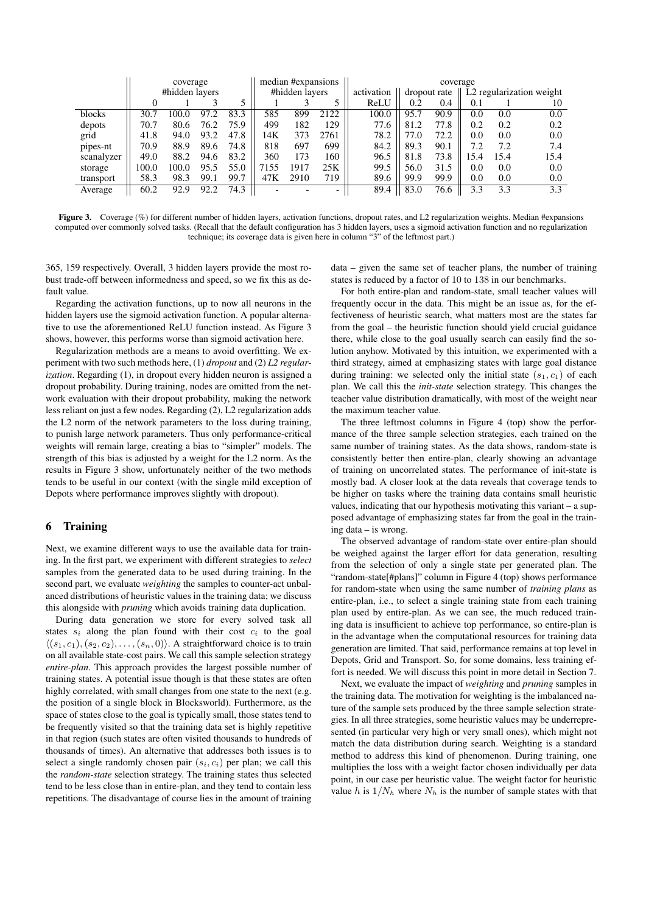|            |                | coverage |                |      | median #expansions |            |              | coverage                             |      |      |     |      |      |  |  |
|------------|----------------|----------|----------------|------|--------------------|------------|--------------|--------------------------------------|------|------|-----|------|------|--|--|
|            | #hidden layers |          | #hidden layers |      |                    | activation | dropout rate | L <sub>2</sub> regularization weight |      |      |     |      |      |  |  |
|            |                |          |                |      |                    |            |              | ReLU                                 | 0.2  | 0.4  | 0.1 |      | 10   |  |  |
| blocks     | 30.7           | 100.0    | 97.2           | 83.3 | 585                | 899        | 2122         | 100.0                                | 95.7 | 90.9 | 0.0 | 0.0  | 0.0  |  |  |
| depots     | 70.7           | 80.6     | 76.2           | 75.9 | 499                | 182        | 129          | 77.6                                 | 81.2 | 77.8 | 0.2 | 0.2  | 0.2  |  |  |
| grid       | 41.8           | 94.0     | 93.2           | 47.8 | 14K                | 373        | 2761         | 78.2                                 | 77.0 | 72.2 | 0.0 | 0.0  | 0.0  |  |  |
| pipes-nt   | 70.9           | 88.9     | 89.6           | 74.8 | 818                | 697        | 699          | 84.2                                 | 89.3 | 90.1 | 7.2 | 7.2  | 7.4  |  |  |
| scanalyzer | 49.0           | 88.2     | 94.6           | 83.2 | 360                | 173        | 160          | 96.5                                 | 81.8 | 73.8 | 5.4 | 15.4 | 15.4 |  |  |
| storage    | 100.0          | 100.0    | 95.5           | 55.0 | 7155               | 1917       | 25K          | 99.5                                 | 56.0 | 31.5 | 0.0 | 0.0  | 0.0  |  |  |
| transport  | 58.3           | 98.3     | 99.1           | 99.7 | 47K                | 2910       | 719          | 89.6                                 | 99.9 | 99.9 | 0.0 | 0.0  | 0.0  |  |  |
| Average    | 60.2           | 92.9     | 92.2           | 74.3 |                    |            |              | 89.4                                 | 83.0 | 76.6 | 3.3 | 3.3  | 3.3  |  |  |

Figure 3. Coverage (%) for different number of hidden layers, activation functions, dropout rates, and L2 regularization weights. Median #expansions computed over commonly solved tasks. (Recall that the default configuration has 3 hidden layers, uses a sigmoid activation function and no regularization technique; its coverage data is given here in column "3" of the leftmost part.)

365, 159 respectively. Overall, 3 hidden layers provide the most robust trade-off between informedness and speed, so we fix this as default value.

Regarding the activation functions, up to now all neurons in the hidden layers use the sigmoid activation function. A popular alternative to use the aforementioned ReLU function instead. As Figure 3 shows, however, this performs worse than sigmoid activation here.

Regularization methods are a means to avoid overfitting. We experiment with two such methods here, (1) *dropout* and (2) *L2 regularization*. Regarding (1), in dropout every hidden neuron is assigned a dropout probability. During training, nodes are omitted from the network evaluation with their dropout probability, making the network less reliant on just a few nodes. Regarding (2), L2 regularization adds the L2 norm of the network parameters to the loss during training, to punish large network parameters. Thus only performance-critical weights will remain large, creating a bias to "simpler" models. The strength of this bias is adjusted by a weight for the L2 norm. As the results in Figure 3 show, unfortunately neither of the two methods tends to be useful in our context (with the single mild exception of Depots where performance improves slightly with dropout).

#### 6 Training

Next, we examine different ways to use the available data for training. In the first part, we experiment with different strategies to *select* samples from the generated data to be used during training. In the second part, we evaluate *weighting* the samples to counter-act unbalanced distributions of heuristic values in the training data; we discuss this alongside with *pruning* which avoids training data duplication.

During data generation we store for every solved task all states  $s_i$  along the plan found with their cost  $c_i$  to the goal  $\langle (s_1, c_1), (s_2, c_2), \ldots, (s_n, 0) \rangle$ . A straightforward choice is to train on all available state-cost pairs. We call this sample selection strategy *entire-plan*. This approach provides the largest possible number of training states. A potential issue though is that these states are often highly correlated, with small changes from one state to the next (e.g. the position of a single block in Blocksworld). Furthermore, as the space of states close to the goal is typically small, those states tend to be frequently visited so that the training data set is highly repetitive in that region (such states are often visited thousands to hundreds of thousands of times). An alternative that addresses both issues is to select a single randomly chosen pair  $(s_i, c_i)$  per plan; we call this the *random-state* selection strategy. The training states thus selected tend to be less close than in entire-plan, and they tend to contain less repetitions. The disadvantage of course lies in the amount of training data – given the same set of teacher plans, the number of training states is reduced by a factor of 10 to 138 in our benchmarks.

For both entire-plan and random-state, small teacher values will frequently occur in the data. This might be an issue as, for the effectiveness of heuristic search, what matters most are the states far from the goal – the heuristic function should yield crucial guidance there, while close to the goal usually search can easily find the solution anyhow. Motivated by this intuition, we experimented with a third strategy, aimed at emphasizing states with large goal distance during training: we selected only the initial state  $(s_1, c_1)$  of each plan. We call this the *init-state* selection strategy. This changes the teacher value distribution dramatically, with most of the weight near the maximum teacher value.

The three leftmost columns in Figure 4 (top) show the performance of the three sample selection strategies, each trained on the same number of training states. As the data shows, random-state is consistently better then entire-plan, clearly showing an advantage of training on uncorrelated states. The performance of init-state is mostly bad. A closer look at the data reveals that coverage tends to be higher on tasks where the training data contains small heuristic values, indicating that our hypothesis motivating this variant – a supposed advantage of emphasizing states far from the goal in the training data – is wrong.

The observed advantage of random-state over entire-plan should be weighed against the larger effort for data generation, resulting from the selection of only a single state per generated plan. The "random-state[#plans]" column in Figure 4 (top) shows performance for random-state when using the same number of *training plans* as entire-plan, i.e., to select a single training state from each training plan used by entire-plan. As we can see, the much reduced training data is insufficient to achieve top performance, so entire-plan is in the advantage when the computational resources for training data generation are limited. That said, performance remains at top level in Depots, Grid and Transport. So, for some domains, less training effort is needed. We will discuss this point in more detail in Section 7.

Next, we evaluate the impact of *weighting* and *pruning* samples in the training data. The motivation for weighting is the imbalanced nature of the sample sets produced by the three sample selection strategies. In all three strategies, some heuristic values may be underrepresented (in particular very high or very small ones), which might not match the data distribution during search. Weighting is a standard method to address this kind of phenomenon. During training, one multiplies the loss with a weight factor chosen individually per data point, in our case per heuristic value. The weight factor for heuristic value h is  $1/N_h$  where  $N_h$  is the number of sample states with that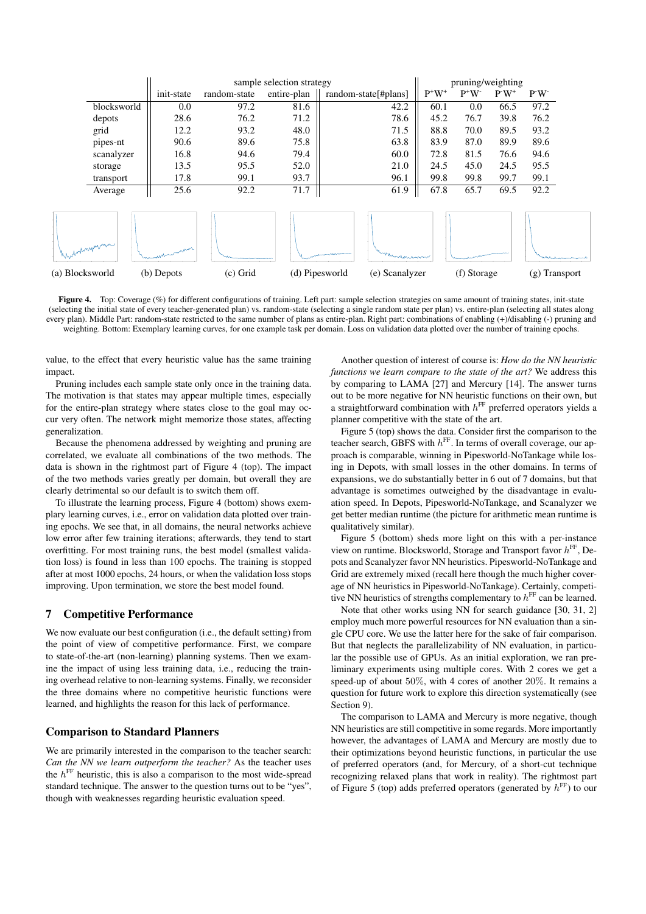

Figure 4. Top: Coverage (%) for different configurations of training. Left part: sample selection strategies on same amount of training states, init-state (selecting the initial state of every teacher-generated plan) vs. random-state (selecting a single random state per plan) vs. entire-plan (selecting all states along every plan). Middle Part: random-state restricted to the same number of plans as entire-plan. Right part: combinations of enabling (+)/disabling (-) pruning and weighting. Bottom: Exemplary learning curves, for one example task per domain. Loss on validation data plotted over the number of training epochs.

value, to the effect that every heuristic value has the same training impact.

Pruning includes each sample state only once in the training data. The motivation is that states may appear multiple times, especially for the entire-plan strategy where states close to the goal may occur very often. The network might memorize those states, affecting generalization.

Because the phenomena addressed by weighting and pruning are correlated, we evaluate all combinations of the two methods. The data is shown in the rightmost part of Figure 4 (top). The impact of the two methods varies greatly per domain, but overall they are clearly detrimental so our default is to switch them off.

To illustrate the learning process, Figure 4 (bottom) shows exemplary learning curves, i.e., error on validation data plotted over training epochs. We see that, in all domains, the neural networks achieve low error after few training iterations; afterwards, they tend to start overfitting. For most training runs, the best model (smallest validation loss) is found in less than 100 epochs. The training is stopped after at most 1000 epochs, 24 hours, or when the validation loss stops improving. Upon termination, we store the best model found.

## 7 Competitive Performance

We now evaluate our best configuration (i.e., the default setting) from the point of view of competitive performance. First, we compare to state-of-the-art (non-learning) planning systems. Then we examine the impact of using less training data, i.e., reducing the training overhead relative to non-learning systems. Finally, we reconsider the three domains where no competitive heuristic functions were learned, and highlights the reason for this lack of performance.

# Comparison to Standard Planners

We are primarily interested in the comparison to the teacher search: *Can the NN we learn outperform the teacher?* As the teacher uses the  $h^{\text{FF}}$  heuristic, this is also a comparison to the most wide-spread standard technique. The answer to the question turns out to be "yes", though with weaknesses regarding heuristic evaluation speed.

Another question of interest of course is: *How do the NN heuristic functions we learn compare to the state of the art?* We address this by comparing to LAMA [27] and Mercury [14]. The answer turns out to be more negative for NN heuristic functions on their own, but a straightforward combination with  $h^{\text{FF}}$  preferred operators yields a planner competitive with the state of the art.

Figure 5 (top) shows the data. Consider first the comparison to the teacher search, GBFS with  $h^{\text{FF}}$ . In terms of overall coverage, our approach is comparable, winning in Pipesworld-NoTankage while losing in Depots, with small losses in the other domains. In terms of expansions, we do substantially better in 6 out of 7 domains, but that advantage is sometimes outweighed by the disadvantage in evaluation speed. In Depots, Pipesworld-NoTankage, and Scanalyzer we get better median runtime (the picture for arithmetic mean runtime is qualitatively similar).

Figure 5 (bottom) sheds more light on this with a per-instance view on runtime. Blocksworld, Storage and Transport favor  $h<sup>FF</sup>$ , Depots and Scanalyzer favor NN heuristics. Pipesworld-NoTankage and Grid are extremely mixed (recall here though the much higher coverage of NN heuristics in Pipesworld-NoTankage). Certainly, competitive NN heuristics of strengths complementary to  $h<sup>FF</sup>$  can be learned.

Note that other works using NN for search guidance [30, 31, 2] employ much more powerful resources for NN evaluation than a single CPU core. We use the latter here for the sake of fair comparison. But that neglects the parallelizability of NN evaluation, in particular the possible use of GPUs. As an initial exploration, we ran preliminary experiments using multiple cores. With 2 cores we get a speed-up of about 50%, with 4 cores of another 20%. It remains a question for future work to explore this direction systematically (see Section 9).

The comparison to LAMA and Mercury is more negative, though NN heuristics are still competitive in some regards. More importantly however, the advantages of LAMA and Mercury are mostly due to their optimizations beyond heuristic functions, in particular the use of preferred operators (and, for Mercury, of a short-cut technique recognizing relaxed plans that work in reality). The rightmost part of Figure 5 (top) adds preferred operators (generated by  $h^{\text{FF}}$ ) to our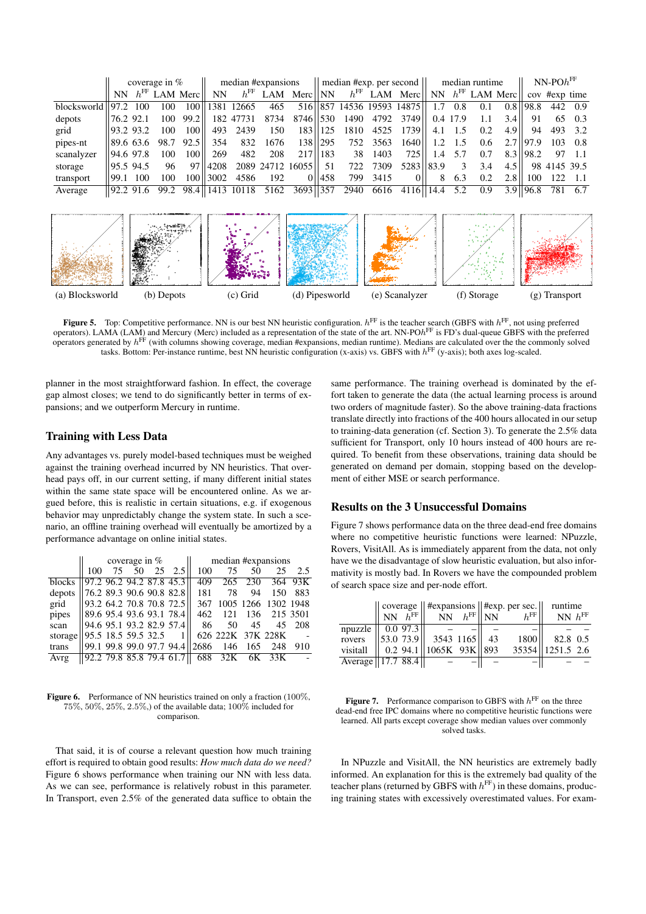|                                 | coverage in $%$   |     |     | median #expansions  |            |                  | $\parallel$ median #exp. per second $\parallel$ |                                                                                                         |           |      | median runtime |                           |               |          | $NN$ -PO $h^{\rm FF}$ |      |              |              |         |
|---------------------------------|-------------------|-----|-----|---------------------|------------|------------------|-------------------------------------------------|---------------------------------------------------------------------------------------------------------|-----------|------|----------------|---------------------------|---------------|----------|-----------------------|------|--------------|--------------|---------|
|                                 |                   |     |     | $NN$ $hFF$ LAM Merc | NN.        |                  |                                                 | $h^{\text{FF}}$ LAM Merc NN $h^{\text{FF}}$ LAM Merc NN $h^{\text{FF}}$ LAM Merc $\alpha$ cov #exp time |           |      |                |                           |               |          |                       |      |              |              |         |
| $blocks$ blocksworld $  97.2  $ |                   | 100 | 100 |                     |            | 100   1381 12665 | 465                                             |                                                                                                         |           |      |                | 516 857 14536 19593 14875 | 1.7           | 0.8      | 0.1                   |      | $0.8$   98.8 |              | 442 0.9 |
| depots                          | 76.2 92.1         |     | 100 | $99.2$              |            | 182 47731        | 8734                                            | 8746   530                                                                                              |           |      |                | 1490 4792 3749            |               | 0.4 17.9 |                       | 3.4  | 91           |              | 65 0.3  |
| grid                            | 93.293.2          |     | 100 | 100 <sup>1</sup>    |            | 493 2439         | 150                                             |                                                                                                         | 183   125 | 1810 | 4525           | 1739                      | 4.1           |          | 0.2                   | 4.9  | 94           |              | 493 3.2 |
| pipes-nt                        | 189.6 63.6        |     |     | 98.7 92.5           | 354        | 832              | 1676                                            |                                                                                                         | 138   295 | 752  | 3563           | 1640                      | 1.2           | 1.5      | $0.6^{\circ}$         |      | $2.7$   97.9 |              | 103 0.8 |
| scanalyzer                      | 94.697.8          |     | 100 | 100 <sup>1</sup>    | 269        | 482              | 208                                             |                                                                                                         | 217   183 | 38   | 1403           | 7251                      | $1.4^{\circ}$ | 5.7      | 0.7                   | 8.31 | 198.2        |              | 97 1.1  |
| storage                         | $ 95.5 \t94.5 \t$ |     | 96  |                     | 97   4208  |                  |                                                 | 2089 24712 16055                                                                                        | 51        |      | 722 7309       | 5283 83.9                 |               |          | 3.4                   | 4.5  |              | 98 4145 39.5 |         |
| transport                       | 199.1             | 100 | 100 |                     | 100   3002 | 4586             | 192                                             |                                                                                                         | 1458      | 799  | 3415           | $\Omega$                  | 8             | 6.3      | 0.2                   | 2.8  | 100          | 122          | -1.1    |
| Average                         | 192.291.6         |     |     |                     |            |                  |                                                 | 99.2 98.4    1413 10118 5162 3693    357                                                                |           | 2940 | 6616           | 4116   14.4               |               | 5.2      | 0.9                   |      | $3.9$   96.8 | 781          | - 6.7   |



**Figure 5.** Top: Competitive performance. NN is our best NN heuristic configuration.  $h^{\text{FF}}$  is the teacher search (GBFS with  $h^{\text{FF}}$ , not using preferred operators). LAMA (LAM) and Mercury (Merc) included as a representation of the state of the art. NN-PO $h^{\text{FF}}$  is FD's dual-queue GBFS with the preferred operators generated by  $h<sup>FF</sup>$  (with columns showing coverage, median #expansions, median runtime). Medians are calculated over the the commonly solved tasks. Bottom: Per-instance runtime, best NN heuristic configuration (x-axis) vs. GBFS with  $h<sup>FF</sup>$  (y-axis); both axes log-scaled.

planner in the most straightforward fashion. In effect, the coverage gap almost closes; we tend to do significantly better in terms of expansions; and we outperform Mercury in runtime.

# Training with Less Data

Any advantages vs. purely model-based techniques must be weighed against the training overhead incurred by NN heuristics. That overhead pays off, in our current setting, if many different initial states within the same state space will be encountered online. As we argued before, this is realistic in certain situations, e.g. if exogenous behavior may unpredictably change the system state. In such a scenario, an offline training overhead will eventually be amortized by a performance advantage on online initial states.

|                                   |     |  | coverage in $%$              | median #expansions |                                                  |    |                 |        |  |  |
|-----------------------------------|-----|--|------------------------------|--------------------|--------------------------------------------------|----|-----------------|--------|--|--|
|                                   | 100 |  | 75 50 25 2.5                 | 100                | 75                                               | 50 | 25              | 2.5    |  |  |
| blocks   97.2 96.2 94.2 87.8 45.3 |     |  |                              | 409                |                                                  |    | 265 230 364 93K |        |  |  |
| depots   76.2 89.3 90.6 90.8 82.8 |     |  |                              | 181                | 78                                               | 94 | 150             | 883    |  |  |
| grid                              |     |  | 93.264.270.870.872.5         |                    | 367 1005 1266 1302 1948                          |    |                 |        |  |  |
| pipes   89.6 95.4 93.6 93.1 78.4  |     |  |                              |                    | 462 121                                          |    | 136 215 3501    |        |  |  |
| scan                              |     |  | 94.695.193.282.957.4         | - 86               | 50                                               |    | 45 45 208       |        |  |  |
| storage   95.5 18.5 59.5 32.5 1   |     |  |                              |                    | 626 222K 37K 228K -                              |    |                 |        |  |  |
| trans                             |     |  |                              |                    | 99.1 99.8 99.0 97.7 94.4    2686 146 165 248 910 |    |                 |        |  |  |
| Avrg                              |     |  | $  92.2$ 79.8 85.8 79.4 61.7 |                    | 688 32K 6K 33K                                   |    |                 | $\sim$ |  |  |

Figure 6. Performance of NN heuristics trained on only a fraction (100%, 75%, 50%, 25%, 2.5%,) of the available data; 100% included for comparison.

That said, it is of course a relevant question how much training effort is required to obtain good results: *How much data do we need?* Figure 6 shows performance when training our NN with less data. As we can see, performance is relatively robust in this parameter. In Transport, even 2.5% of the generated data suffice to obtain the

same performance. The training overhead is dominated by the effort taken to generate the data (the actual learning process is around two orders of magnitude faster). So the above training-data fractions translate directly into fractions of the 400 hours allocated in our setup to training-data generation (cf. Section 3). To generate the 2.5% data sufficient for Transport, only 10 hours instead of 400 hours are required. To benefit from these observations, training data should be generated on demand per domain, stopping based on the development of either MSE or search performance.

## Results on the 3 Unsuccessful Domains

Figure 7 shows performance data on the three dead-end free domains where no competitive heuristic functions were learned: NPuzzle, Rovers, VisitAll. As is immediately apparent from the data, not only have we the disadvantage of slow heuristic evaluation, but also informativity is mostly bad. In Rovers we have the compounded problem of search space size and per-node effort.

|                   |          | $NN$ $\bar{h}$ <sup>FF</sup> |                              | $NN$ $h^{\text{FF}}$ NN |    | coverage    #expansions    #exp. per sec.   <br>$h$ FF | runtime<br>NN $h^{\text{FF}}$ |  |
|-------------------|----------|------------------------------|------------------------------|-------------------------|----|--------------------------------------------------------|-------------------------------|--|
| npuzzle           |          | $0.0$ 97.3                   |                              |                         |    |                                                        |                               |  |
| rovers            | 53.073.9 |                              | 3543 1165                    |                         | 43 | 1800                                                   | 82.8 0.5                      |  |
| visitall          |          |                              | 0.2 94.1    1065K 93K    893 |                         |    |                                                        | 35354   1251.5 2.6            |  |
| Average 17.7 88.4 |          |                              |                              |                         |    |                                                        |                               |  |

**Figure 7.** Performance comparison to GBFS with  $h<sup>FF</sup>$  on the three dead-end free IPC domains where no competitive heuristic functions were learned. All parts except coverage show median values over commonly solved tasks.

In NPuzzle and VisitAll, the NN heuristics are extremely badly informed. An explanation for this is the extremely bad quality of the teacher plans (returned by GBFS with  $h^{\text{FF}}$ ) in these domains, producing training states with excessively overestimated values. For exam-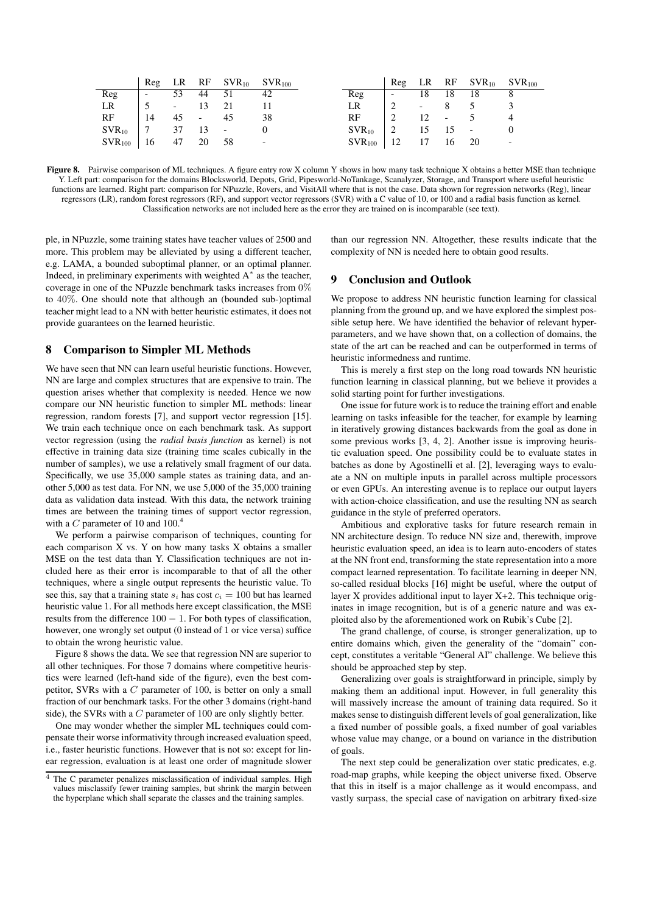|             |                          |                          |                          | $Reg$ LR RF $SVR_{10}$ $SVR_{100}$ |                          |             |                          |                          |                          | Reg LR RF $SVR_{10}$ $SVR_{100}$ |                          |
|-------------|--------------------------|--------------------------|--------------------------|------------------------------------|--------------------------|-------------|--------------------------|--------------------------|--------------------------|----------------------------------|--------------------------|
| Reg         | $\overline{\phantom{a}}$ | 53                       | 44                       | 51                                 | 42                       | Reg         | $\overline{\phantom{a}}$ | 18                       | 18                       | 18                               |                          |
| LR          |                          | $\overline{\phantom{a}}$ |                          | 21                                 |                          | LR          |                          | $\overline{\phantom{0}}$ |                          |                                  |                          |
| RF          | 14                       | 45                       | $\overline{\phantom{a}}$ | 45                                 | 38                       | RF          |                          | 12                       | $\overline{\phantom{a}}$ |                                  |                          |
| $SVR_{10}$  |                          | 37                       | 13                       | $\overline{\phantom{a}}$           |                          | $SVR_{10}$  |                          |                          |                          |                                  |                          |
| $SVR_{100}$ | 16                       | 47                       | 20                       | -58                                | $\overline{\phantom{a}}$ | $SVR_{100}$ | 12                       |                          | 16                       | 20                               | $\overline{\phantom{0}}$ |

Figure 8. Pairwise comparison of ML techniques. A figure entry row X column Y shows in how many task technique X obtains a better MSE than technique Y. Left part: comparison for the domains Blocksworld, Depots, Grid, Pipesworld-NoTankage, Scanalyzer, Storage, and Transport where useful heuristic functions are learned. Right part: comparison for NPuzzle, Rovers, and VisitAll where that is not the case. Data shown for regression networks (Reg), linear regressors (LR), random forest regressors (RF), and support vector regressors (SVR) with a C value of 10, or 100 and a radial basis function as kernel. Classification networks are not included here as the error they are trained on is incomparable (see text).

ple, in NPuzzle, some training states have teacher values of 2500 and more. This problem may be alleviated by using a different teacher, e.g. LAMA, a bounded suboptimal planner, or an optimal planner. Indeed, in preliminary experiments with weighted A<sup>∗</sup> as the teacher, coverage in one of the NPuzzle benchmark tasks increases from 0% to 40%. One should note that although an (bounded sub-)optimal teacher might lead to a NN with better heuristic estimates, it does not provide guarantees on the learned heuristic.

## 8 Comparison to Simpler ML Methods

We have seen that NN can learn useful heuristic functions. However, NN are large and complex structures that are expensive to train. The question arises whether that complexity is needed. Hence we now compare our NN heuristic function to simpler ML methods: linear regression, random forests [7], and support vector regression [15]. We train each technique once on each benchmark task. As support vector regression (using the *radial basis function* as kernel) is not effective in training data size (training time scales cubically in the number of samples), we use a relatively small fragment of our data. Specifically, we use 35,000 sample states as training data, and another 5,000 as test data. For NN, we use 5,000 of the 35,000 training data as validation data instead. With this data, the network training times are between the training times of support vector regression, with a C parameter of 10 and  $100<sup>4</sup>$ 

We perform a pairwise comparison of techniques, counting for each comparison X vs. Y on how many tasks X obtains a smaller MSE on the test data than Y. Classification techniques are not included here as their error is incomparable to that of all the other techniques, where a single output represents the heuristic value. To see this, say that a training state  $s_i$  has cost  $c_i = 100$  but has learned heuristic value 1. For all methods here except classification, the MSE results from the difference  $100 - 1$ . For both types of classification, however, one wrongly set output (0 instead of 1 or vice versa) suffice to obtain the wrong heuristic value.

Figure 8 shows the data. We see that regression NN are superior to all other techniques. For those 7 domains where competitive heuristics were learned (left-hand side of the figure), even the best competitor, SVRs with a C parameter of 100, is better on only a small fraction of our benchmark tasks. For the other 3 domains (right-hand side), the SVRs with a  $C$  parameter of 100 are only slightly better.

One may wonder whether the simpler ML techniques could compensate their worse informativity through increased evaluation speed, i.e., faster heuristic functions. However that is not so: except for linear regression, evaluation is at least one order of magnitude slower

than our regression NN. Altogether, these results indicate that the complexity of NN is needed here to obtain good results.

# 9 Conclusion and Outlook

We propose to address NN heuristic function learning for classical planning from the ground up, and we have explored the simplest possible setup here. We have identified the behavior of relevant hyperparameters, and we have shown that, on a collection of domains, the state of the art can be reached and can be outperformed in terms of heuristic informedness and runtime.

This is merely a first step on the long road towards NN heuristic function learning in classical planning, but we believe it provides a solid starting point for further investigations.

One issue for future work is to reduce the training effort and enable learning on tasks infeasible for the teacher, for example by learning in iteratively growing distances backwards from the goal as done in some previous works [3, 4, 2]. Another issue is improving heuristic evaluation speed. One possibility could be to evaluate states in batches as done by Agostinelli et al. [2], leveraging ways to evaluate a NN on multiple inputs in parallel across multiple processors or even GPUs. An interesting avenue is to replace our output layers with action-choice classification, and use the resulting NN as search guidance in the style of preferred operators.

Ambitious and explorative tasks for future research remain in NN architecture design. To reduce NN size and, therewith, improve heuristic evaluation speed, an idea is to learn auto-encoders of states at the NN front end, transforming the state representation into a more compact learned representation. To facilitate learning in deeper NN, so-called residual blocks [16] might be useful, where the output of layer X provides additional input to layer X+2. This technique originates in image recognition, but is of a generic nature and was exploited also by the aforementioned work on Rubik's Cube [2].

The grand challenge, of course, is stronger generalization, up to entire domains which, given the generality of the "domain" concept, constitutes a veritable "General AI" challenge. We believe this should be approached step by step.

Generalizing over goals is straightforward in principle, simply by making them an additional input. However, in full generality this will massively increase the amount of training data required. So it makes sense to distinguish different levels of goal generalization, like a fixed number of possible goals, a fixed number of goal variables whose value may change, or a bound on variance in the distribution of goals.

The next step could be generalization over static predicates, e.g. road-map graphs, while keeping the object universe fixed. Observe that this in itself is a major challenge as it would encompass, and vastly surpass, the special case of navigation on arbitrary fixed-size

 $\overline{4}$  The C parameter penalizes misclassification of individual samples. High values misclassify fewer training samples, but shrink the margin between the hyperplane which shall separate the classes and the training samples.